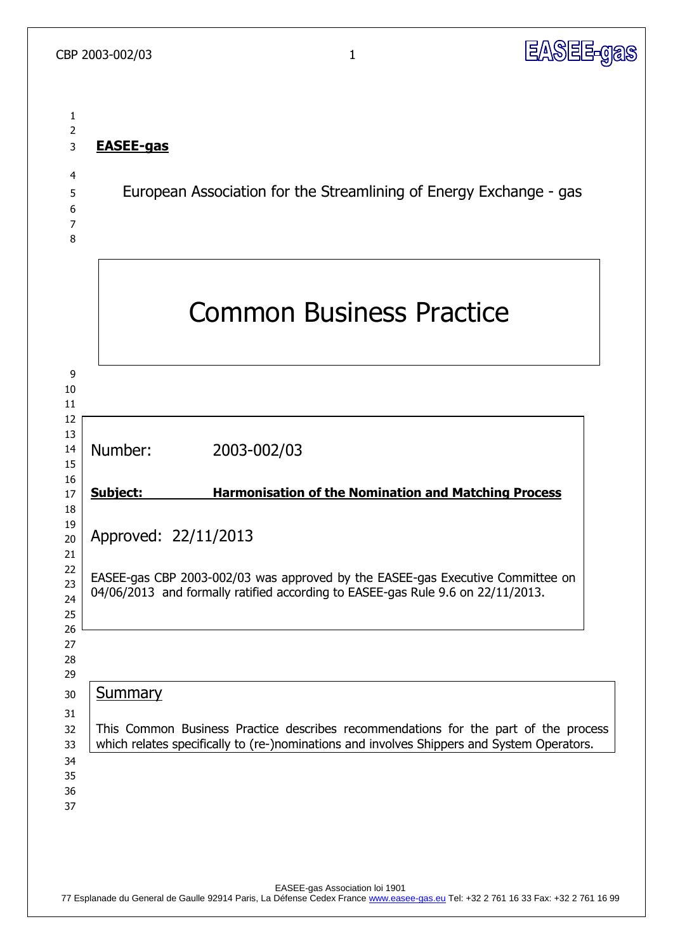

# **EASEE-gas**

European Association for the Streamlining of Energy Exchange - gas

 

| 9<br>10<br>11<br>12<br>13<br>14<br>15                                                                                |                                                                                                                                                                                           | <b>Common Business Practice</b>                                                                                                                                                                     |                                                             |  |
|----------------------------------------------------------------------------------------------------------------------|-------------------------------------------------------------------------------------------------------------------------------------------------------------------------------------------|-----------------------------------------------------------------------------------------------------------------------------------------------------------------------------------------------------|-------------------------------------------------------------|--|
|                                                                                                                      |                                                                                                                                                                                           |                                                                                                                                                                                                     |                                                             |  |
|                                                                                                                      |                                                                                                                                                                                           | Number:                                                                                                                                                                                             | 2003-002/03                                                 |  |
| 16<br>17                                                                                                             |                                                                                                                                                                                           | <b>Subject:</b>                                                                                                                                                                                     | <b>Harmonisation of the Nomination and Matching Process</b> |  |
| 18<br>19<br>20<br>21<br>22<br>23<br>24<br>25<br>26<br>27<br>28<br>29<br>30<br>31<br>32<br>33<br>34<br>35<br>36<br>37 | Approved: 22/11/2013<br>EASEE-gas CBP 2003-002/03 was approved by the EASEE-gas Executive Committee on<br>04/06/2013 and formally ratified according to EASEE-gas Rule 9.6 on 22/11/2013. |                                                                                                                                                                                                     |                                                             |  |
|                                                                                                                      |                                                                                                                                                                                           |                                                                                                                                                                                                     |                                                             |  |
|                                                                                                                      |                                                                                                                                                                                           | <b>Summary</b><br>This Common Business Practice describes recommendations for the part of the process<br>which relates specifically to (re-)nominations and involves Shippers and System Operators. |                                                             |  |
|                                                                                                                      |                                                                                                                                                                                           |                                                                                                                                                                                                     |                                                             |  |

EASEE-gas Association loi 1901

77 Esplanade du General de Gaulle 92914 Paris, La Défense Cedex France www.easee-gas.eu Tel: +32 2 761 16 33 Fax: +32 2 761 16 99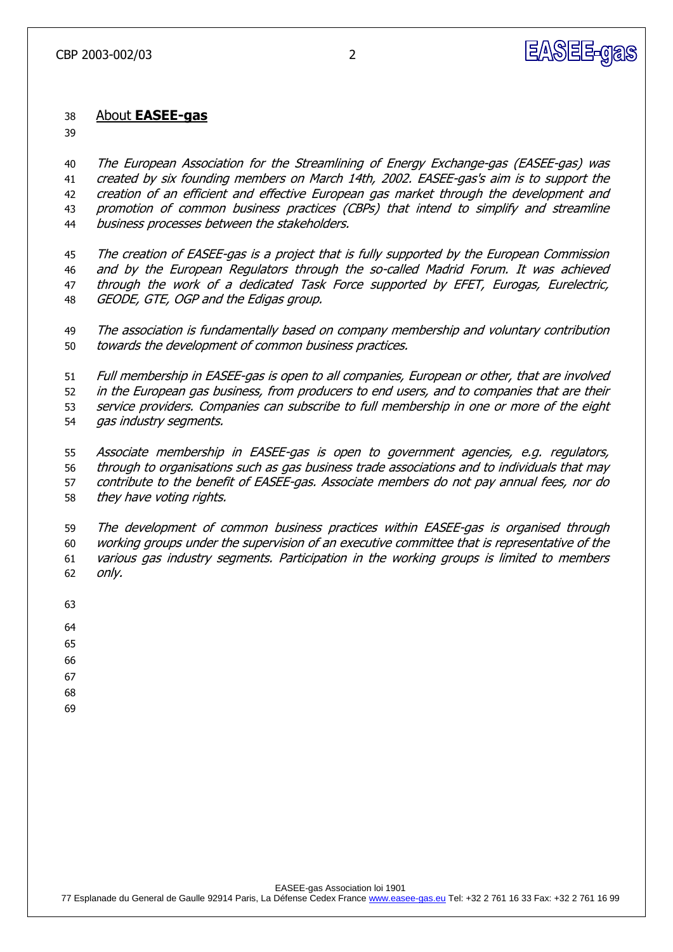

#### About **EASEE-gas**

 The European Association for the Streamlining of Energy Exchange-gas (EASEE-gas) was created by six founding members on March 14th, 2002. EASEE-gas's aim is to support the creation of an efficient and effective European gas market through the development and 43 promotion of common business practices (CBPs) that intend to simplify and streamline 44 business processes between the stakeholders.

 The creation of EASEE-gas is a project that is fully supported by the European Commission and by the European Regulators through the so-called Madrid Forum. It was achieved through the work of a dedicated Task Force supported by EFET, Eurogas, Eurelectric, GEODE, GTE, OGP and the Edigas group.

 The association is fundamentally based on company membership and voluntary contribution towards the development of common business practices.

 Full membership in EASEE-gas is open to all companies, European or other, that are involved 52 in the European gas business, from producers to end users, and to companies that are their service providers. Companies can subscribe to full membership in one or more of the eight gas industry segments.

 Associate membership in EASEE-gas is open to government agencies, e.g. regulators, through to organisations such as gas business trade associations and to individuals that may contribute to the benefit of EASEE-gas. Associate members do not pay annual fees, nor do they have voting rights.

 The development of common business practices within EASEE-gas is organised through working groups under the supervision of an executive committee that is representative of the various gas industry segments. Participation in the working groups is limited to members only.

- 
- 
- 
- 
- 
- 
-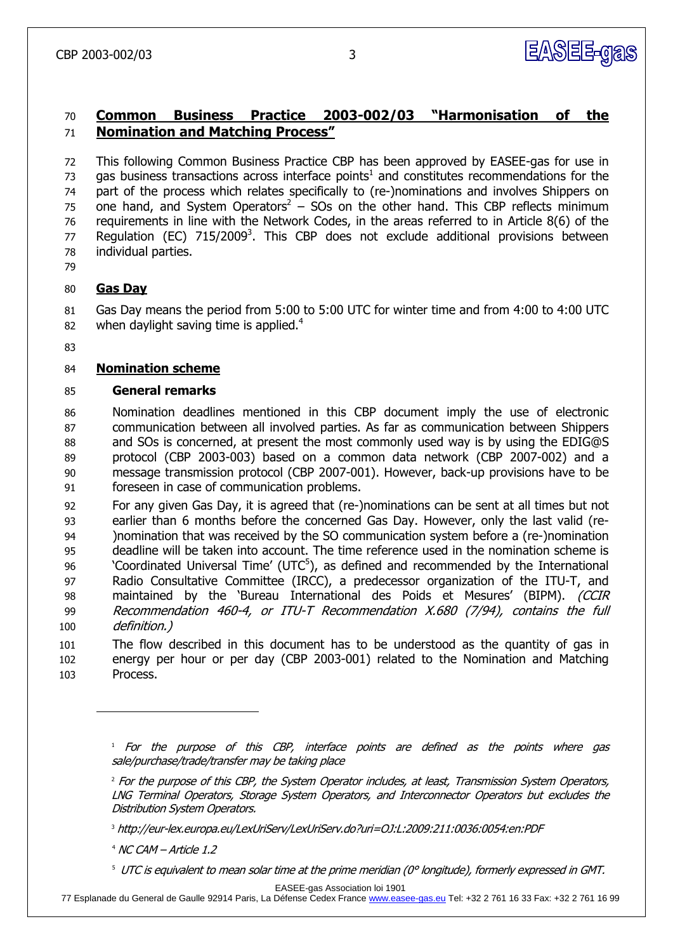

# **Common Business Practice 2003-002/03 "Harmonisation of the Nomination and Matching Process"**

 This following Common Business Practice CBP has been approved by EASEE-gas for use in 73 gas business transactions across interface points<sup>1</sup> and constitutes recommendations for the part of the process which relates specifically to (re-)nominations and involves Shippers on 75 one hand, and System Operators<sup>2</sup> – SOs on the other hand. This CBP reflects minimum requirements in line with the Network Codes, in the areas referred to in Article 8(6) of the 77 Regulation (EC) 715/2009<sup>3</sup>. This CBP does not exclude additional provisions between individual parties.

# **Gas Day**

-

 Gas Day means the period from 5:00 to 5:00 UTC for winter time and from 4:00 to 4:00 UTC when daylight saving time is applied.<sup>4</sup> 

# **Nomination scheme**

# **General remarks**

 Nomination deadlines mentioned in this CBP document imply the use of electronic communication between all involved parties. As far as communication between Shippers and SOs is concerned, at present the most commonly used way is by using the EDIG@S protocol (CBP 2003-003) based on a common data network (CBP 2007-002) and a message transmission protocol (CBP 2007-001). However, back-up provisions have to be foreseen in case of communication problems.

 For any given Gas Day, it is agreed that (re-)nominations can be sent at all times but not earlier than 6 months before the concerned Gas Day. However, only the last valid (re- )nomination that was received by the SO communication system before a (re-)nomination deadline will be taken into account. The time reference used in the nomination scheme is  $\degree$  'Coordinated Universal Time' (UTC<sup>5</sup>), as defined and recommended by the International Radio Consultative Committee (IRCC), a predecessor organization of the [ITU-T,](http://www.its.bldrdoc.gov/fs-1037/dir-020/_2896.htm) and 98 maintained by the 'Bureau International des Poids et Mesures' (BIPM). (CCIR Recommendation 460-4, or ITU-T Recommendation X.680 (7/94), contains the full definition.)

 The flow described in this document has to be understood as the quantity of gas in energy per hour or per day (CBP 2003-001) related to the Nomination and Matching Process.

http://eur-lex.europa.eu/LexUriServ/LexUriServ.do?uri=OJ:L:2009:211:0036:0054:en:PDF

NC CAM – Article 1.2

<sup>5</sup> UTC is equivalent to mean solar time at the prime meridian (0° longitude), formerly expressed in GMT.

EASEE-gas Association loi 1901

Esplanade du General de Gaulle 92914 Paris, La Défense Cedex France www.easee-gas.eu Tel: +32 2 761 16 33 Fax: +32 2 761 16 99

 $<sup>1</sup>$  For the purpose of this CBP, interface points are defined as the points where gas</sup> sale/purchase/trade/transfer may be taking place

<sup>&</sup>lt;sup>2</sup> For the purpose of this CBP, the System Operator includes, at least, Transmission System Operators, LNG Terminal Operators, Storage System Operators, and Interconnector Operators but excludes the Distribution System Operators.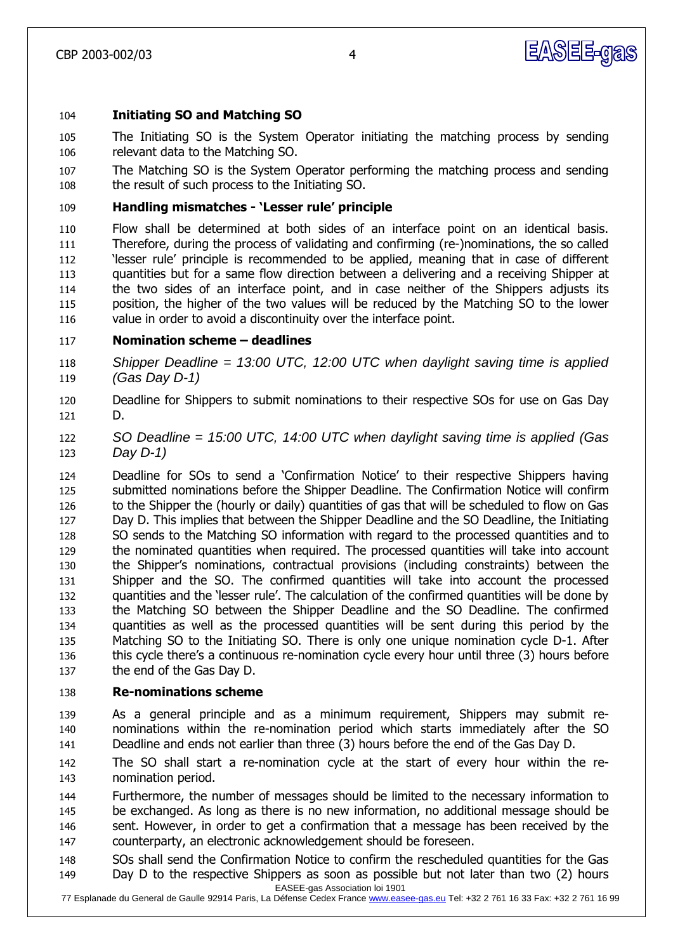

### **Initiating SO and Matching SO**

- The Initiating SO is the System Operator initiating the matching process by sending relevant data to the Matching SO.
- The Matching SO is the System Operator performing the matching process and sending the result of such process to the Initiating SO.

### **Handling mismatches - "Lesser rule" principle**

 Flow shall be determined at both sides of an interface point on an identical basis. Therefore, during the process of validating and confirming (re-)nominations, the so called 'lesser rule' principle is recommended to be applied, meaning that in case of different quantities but for a same flow direction between a delivering and a receiving Shipper at the two sides of an interface point, and in case neither of the Shippers adjusts its position, the higher of the two values will be reduced by the Matching SO to the lower value in order to avoid a discontinuity over the interface point.

### **Nomination scheme – deadlines**

 *Shipper Deadline = 13:00 UTC, 12:00 UTC when daylight saving time is applied (Gas Day D-1)*

- Deadline for Shippers to submit nominations to their respective SOs for use on Gas Day D.
- *SO Deadline = 15:00 UTC, 14:00 UTC when daylight saving time is applied (Gas Day D-1)*
- Deadline for SOs to send a 'Confirmation Notice' to their respective Shippers having submitted nominations before the Shipper Deadline. The Confirmation Notice will confirm to the Shipper the (hourly or daily) quantities of gas that will be scheduled to flow on Gas Day D. This implies that between the Shipper Deadline and the SO Deadline, the Initiating SO sends to the Matching SO information with regard to the processed quantities and to the nominated quantities when required. The processed quantities will take into account the Shipper's nominations, contractual provisions (including constraints) between the Shipper and the SO. The confirmed quantities will take into account the processed quantities and the 'lesser rule'. The calculation of the confirmed quantities will be done by the Matching SO between the Shipper Deadline and the SO Deadline. The confirmed quantities as well as the processed quantities will be sent during this period by the Matching SO to the Initiating SO. There is only one unique nomination cycle D-1. After this cycle there's a continuous re-nomination cycle every hour until three (3) hours before the end of the Gas Day D.

#### **Re-nominations scheme**

 As a general principle and as a minimum requirement, Shippers may submit re- nominations within the re-nomination period which starts immediately after the SO Deadline and ends not earlier than three (3) hours before the end of the Gas Day D.

 The SO shall start a re-nomination cycle at the start of every hour within the re-nomination period.

 Furthermore, the number of messages should be limited to the necessary information to be exchanged. As long as there is no new information, no additional message should be 146 sent. However, in order to get a confirmation that a message has been received by the counterparty, an electronic acknowledgement should be foreseen.

EASEE-gas Association loi 1901 SOs shall send the Confirmation Notice to confirm the rescheduled quantities for the Gas Day D to the respective Shippers as soon as possible but not later than two (2) hours

Esplanade du General de Gaulle 92914 Paris, La Défense Cedex France www.easee-gas.eu Tel: +32 2 761 16 33 Fax: +32 2 761 16 99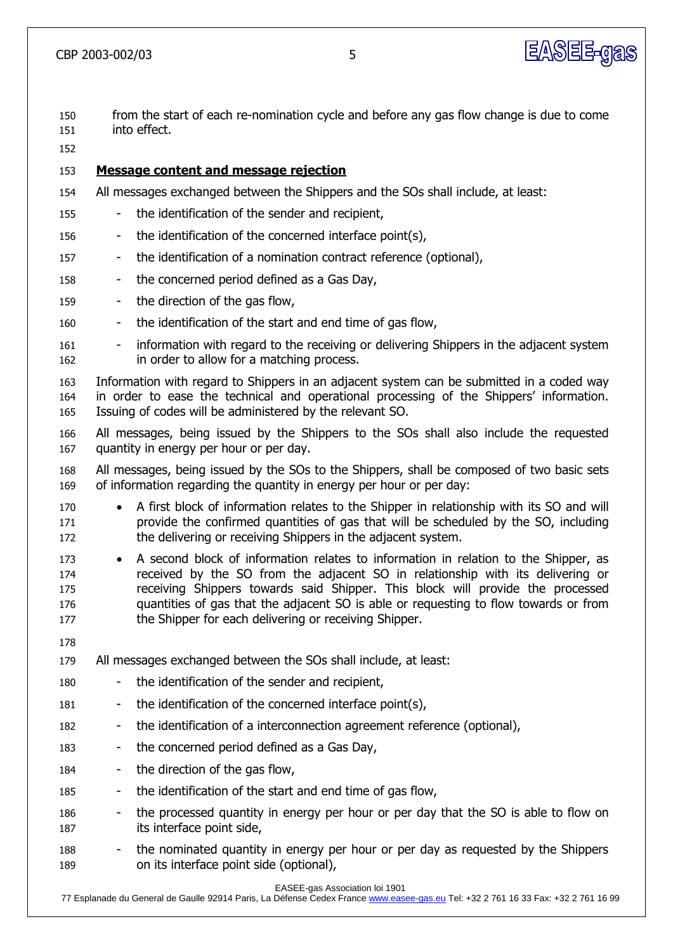

 from the start of each re-nomination cycle and before any gas flow change is due to come into effect.

**Message content and message rejection**

- All messages exchanged between the Shippers and the SOs shall include, at least:
- the identification of the sender and recipient,
- 156 the identification of the concerned interface point(s),
- the identification of a nomination contract reference (optional),
- the concerned period defined as a Gas Day,
- the direction of the gas flow,
- the identification of the start and end time of gas flow,
- 161 information with regard to the receiving or delivering Shippers in the adjacent system in order to allow for a matching process.
- Information with regard to Shippers in an adjacent system can be submitted in a coded way in order to ease the technical and operational processing of the Shippers' information. Issuing of codes will be administered by the relevant SO.
- All messages, being issued by the Shippers to the SOs shall also include the requested quantity in energy per hour or per day.
- All messages, being issued by the SOs to the Shippers, shall be composed of two basic sets of information regarding the quantity in energy per hour or per day:
- 170 A first block of information relates to the Shipper in relationship with its SO and will provide the confirmed quantities of gas that will be scheduled by the SO, including the delivering or receiving Shippers in the adjacent system.
- 173 A second block of information relates to information in relation to the Shipper, as received by the SO from the adjacent SO in relationship with its delivering or receiving Shippers towards said Shipper. This block will provide the processed quantities of gas that the adjacent SO is able or requesting to flow towards or from 177 the Shipper for each delivering or receiving Shipper.
- 
- All messages exchanged between the SOs shall include, at least:
- the identification of the sender and recipient,
- the identification of the concerned interface point(s),
- the identification of a interconnection agreement reference (optional),
- 183 the concerned period defined as a Gas Day,
- the direction of the gas flow,
- the identification of the start and end time of gas flow,
- 186 the processed quantity in energy per hour or per day that the SO is able to flow on its interface point side,
- 188 the nominated quantity in energy per hour or per day as requested by the Shippers 189 on its interface point side (optional),

EASEE-gas Association loi 1901